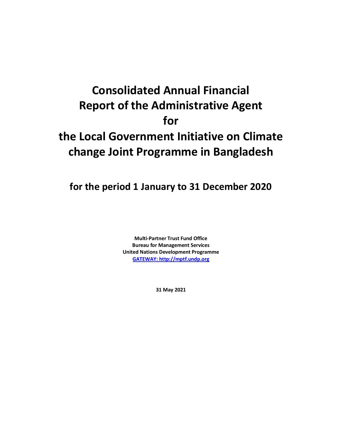# **Consolidated Annual Financial Report of the Administrative Agent for the Local Government Initiative on Climate change Joint Programme in Bangladesh**

**for the period 1 January to 31 December 2020**

**Multi-Partner Trust Fund Office Bureau for Management Services United Nations Development Programme [GATEWAY: http://mptf.undp.org](http://mptf.undp.org/)**

**31 May 2021**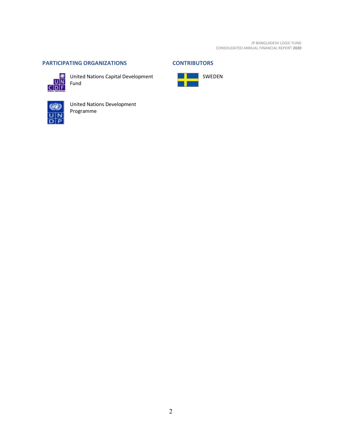# <span id="page-1-0"></span>**PARTICIPATING ORGANIZATIONS CONTRIBUTORS**



United Nations Capital Development<br>UN Fund Fund

<span id="page-1-1"></span>





United Nations Development Programme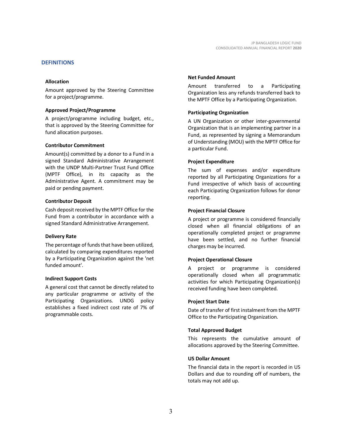# <span id="page-2-0"></span>**DEFINITIONS**

#### **Allocation**

Amount approved by the Steering Committee for a project/programme.

#### **Approved Project/Programme**

A project/programme including budget, etc., that is approved by the Steering Committee for fund allocation purposes.

#### **Contributor Commitment**

Amount(s) committed by a donor to a Fund in a signed Standard Administrative Arrangement with the UNDP Multi-Partner Trust Fund Office (MPTF Office), in its capacity as the Administrative Agent. A commitment may be paid or pending payment.

#### **Contributor Deposit**

Cash deposit received by the MPTF Office for the Fund from a contributor in accordance with a signed Standard Administrative Arrangement.

#### **Delivery Rate**

The percentage of funds that have been utilized, calculated by comparing expenditures reported by a Participating Organization against the 'net funded amount'.

#### **Indirect Support Costs**

A general cost that cannot be directly related to any particular programme or activity of the Participating Organizations. UNDG policy establishes a fixed indirect cost rate of 7% of programmable costs.

#### **Net Funded Amount**

Amount transferred to a Participating Organization less any refunds transferred back to the MPTF Office by a Participating Organization.

#### **Participating Organization**

A UN Organization or other inter-governmental Organization that is an implementing partner in a Fund, as represented by signing a Memorandum of Understanding (MOU) with the MPTF Office for a particular Fund.

#### **Project Expenditure**

The sum of expenses and/or expenditure reported by all Participating Organizations for a Fund irrespective of which basis of accounting each Participating Organization follows for donor reporting.

#### **Project Financial Closure**

A project or programme is considered financially closed when all financial obligations of an operationally completed project or programme have been settled, and no further financial charges may be incurred.

#### **Project Operational Closure**

A project or programme is considered operationally closed when all programmatic activities for which Participating Organization(s) received funding have been completed.

#### **Project Start Date**

Date of transfer of first instalment from the MPTF Office to the Participating Organization.

#### **Total Approved Budget**

This represents the cumulative amount of allocations approved by the Steering Committee.

#### **US Dollar Amount**

The financial data in the report is recorded in US Dollars and due to rounding off of numbers, the totals may not add up.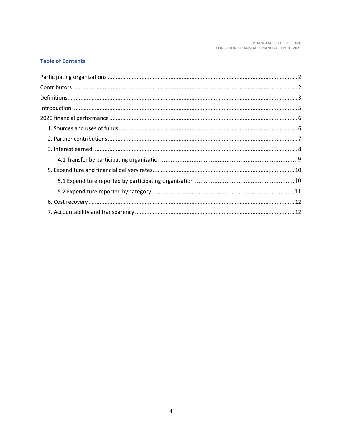# **Table of Contents**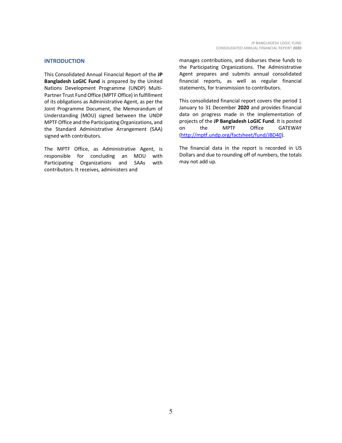#### <span id="page-4-0"></span>**INTRODUCTION**

This Consolidated Annual Financial Report of the **JP Bangladesh LoGIC Fund** is prepared by the United Nations Development Programme (UNDP) Multi-Partner Trust Fund Office (MPTF Office) in fulfillment of its obligations as Administrative Agent, as per the Joint Programme Document, the Memorandum of Understanding (MOU) signed between the UNDP MPTF Office and the Participating Organizations, and the Standard Administrative Arrangement (SAA) signed with contributors.

The MPTF Office, as Administrative Agent, is responsible for concluding an MOU with Participating Organizations and SAAs with contributors. It receives, administers and

manages contributions, and disburses these funds to the Participating Organizations. The Administrative Agent prepares and submits annual consolidated financial reports, as well as regular financial statements, for transmission to contributors.

This consolidated financial report covers the period 1 January to 31 December **2020** and provides financial data on progress made in the implementation of projects of the **JP Bangladesh LoGIC Fund**. It is posted on the MPTF Office GATEWAY [\(http://mptf.undp.org/factsheet/fund/JBD40\)](http://mptf.undp.org/factsheet/fund/JBD40).

The financial data in the report is recorded in US Dollars and due to rounding off of numbers, the totals may not add up.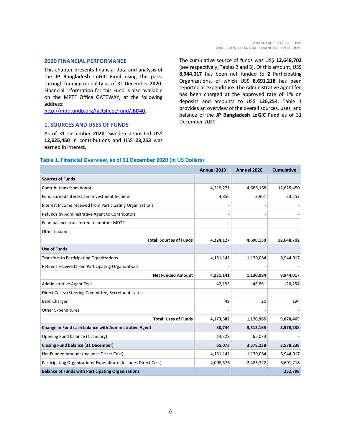#### <span id="page-5-0"></span>**2020 FINANCIAL PERFORMANCE**

This chapter presents financial data and analysis of the **JP Bangladesh LoGIC Fund** using the passthrough funding modality as of 31 December **2020**. Financial information for this Fund is also available on the MPTF Office GATEWAY, at the following address:

[http://mptf.undp.org/factsheet/fund/JBD40.](http://mptf.undp.org/factsheet/fund/JBD40)

## <span id="page-5-1"></span>**1. SOURCES AND USES OF FUNDS**

As of 31 December **2020**, Sweden deposited US\$ **12,625,450** in contributions and US\$ **23,253** was earned in interest.

The cumulative source of funds was US\$ **12,648,702** (see respectively, Tables 2 and 3). Of this amount, US\$ **8,944,017** has been net funded to **2** Participating Organizations, of which US\$ **8,691,218** has been reported as expenditure. The Administrative Agent fee has been charged at the approved rate of 1% on deposits and amounts to US\$ **126,254**. Table 1 provides an overview of the overall sources, uses, and balance of the **JP Bangladesh LoGIC Fund** as of 31 December 2020.

# **Table 1. Financial Overview, as of 31 December 2020 (in US Dollars)**

|                                                                 | Annual 2019 | Annual 2020 | <b>Cumulative</b> |
|-----------------------------------------------------------------|-------------|-------------|-------------------|
| <b>Sources of Funds</b>                                         |             |             |                   |
| Contributions from donor                                        | 4,219,271   | 4,686,168   | 12,625,450        |
| <b>Fund Earned Interest and Investment Income</b>               | 4,856       | 3,961       | 23,253            |
| Interest Income received from Participating Organizations       |             |             |                   |
| Refunds by Administrative Agent to Contributors                 |             |             |                   |
| Fund balance transferred to another MDTF                        |             |             |                   |
| Other Income                                                    |             |             |                   |
| <b>Total: Sources of Funds</b>                                  | 4,224,127   | 4,690,130   | 12,648,702        |
| <b>Use of Funds</b>                                             |             |             |                   |
| <b>Transfers to Participating Organizations</b>                 | 4,131,141   | 1,130,084   | 8,944,017         |
| Refunds received from Participating Organizations               |             |             |                   |
| <b>Net Funded Amount</b>                                        | 4,131,141   | 1,130,084   | 8,944,017         |
| <b>Administrative Agent Fees</b>                                | 42,193      | 46,861      | 126,254           |
| Direct Costs: (Steering Committee, Secretariatetc.)             |             |             |                   |
| <b>Bank Charges</b>                                             | 49          | 20          | 194               |
| <b>Other Expenditures</b>                                       |             |             |                   |
| <b>Total: Uses of Funds</b>                                     | 4,173,382   | 1,176,965   | 9,070,465         |
| Change in Fund cash balance with Administrative Agent           | 50,744      | 3,513,165   | 3,578,238         |
| Opening Fund balance (1 January)                                | 14,328      | 65,073      |                   |
| <b>Closing Fund balance (31 December)</b>                       | 65,073      | 3,578,238   | 3,578,238         |
| Net Funded Amount (Includes Direct Cost)                        | 4,131,141   | 1,130,084   | 8,944,017         |
| Participating Organizations' Expenditure (Includes Direct Cost) | 4,008,376   | 2,485,322   | 8,691,218         |
| <b>Balance of Funds with Participating Organizations</b>        |             |             | 252,798           |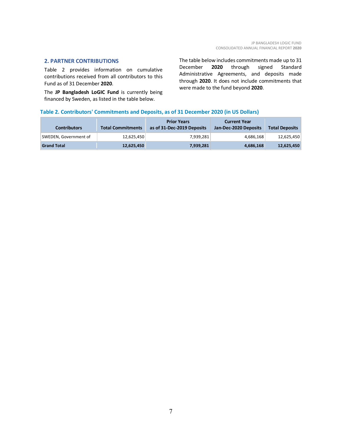## <span id="page-6-0"></span>**2. PARTNER CONTRIBUTIONS**

Table 2 provides information on cumulative contributions received from all contributors to this Fund as of 31 December **2020**.

The **JP Bangladesh LoGIC Fund** is currently being financed by Sweden, as listed in the table below.

The table below includes commitments made up to 31 December **2020** through signed Standard Administrative Agreements, and deposits made through **2020**. It does not include commitments that were made to the fund beyond **2020**.

# **Table 2. Contributors' Commitments and Deposits, as of 31 December 2020 (in US Dollars)**

| <b>Contributors</b>   | <b>Total Commitments</b> | <b>Prior Years</b><br>as of 31-Dec-2019 Deposits | <b>Current Year</b><br>Jan-Dec-2020 Deposits | <b>Total Deposits</b> |
|-----------------------|--------------------------|--------------------------------------------------|----------------------------------------------|-----------------------|
| SWEDEN, Government of | 12,625,450               | 7,939,281                                        | 4,686,168                                    | 12,625,450            |
| <b>Grand Total</b>    | 12,625,450               | 7,939,281                                        | 4,686,168                                    | 12,625,450            |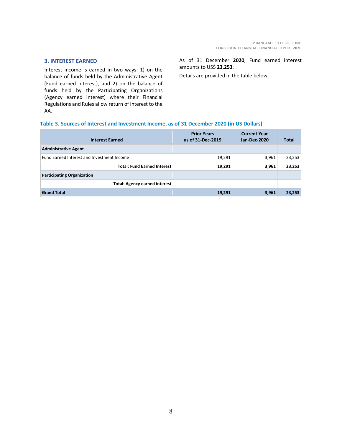## <span id="page-7-0"></span>**3. INTEREST EARNED**

Interest income is earned in two ways: 1) on the balance of funds held by the Administrative Agent (Fund earned interest), and 2) on the balance of funds held by the Participating Organizations (Agency earned interest) where their Financial Regulations and Rules allow return of interest to the AA.

As of 31 December **2020**, Fund earned interest amounts to US\$ **23,253**.

Details are provided in the table below.

# **Table 3. Sources of Interest and Investment Income, as of 31 December 2020 (in US Dollars)**

| <b>Interest Earned</b>                     | <b>Prior Years</b><br>as of 31-Dec-2019 | <b>Current Year</b><br>Jan-Dec-2020 | <b>Total</b> |
|--------------------------------------------|-----------------------------------------|-------------------------------------|--------------|
| <b>Administrative Agent</b>                |                                         |                                     |              |
| Fund Earned Interest and Investment Income | 19,291                                  | 3,961                               | 23,253       |
| <b>Total: Fund Earned Interest</b>         | 19,291                                  | 3,961                               | 23,253       |
| <b>Participating Organization</b>          |                                         |                                     |              |
| <b>Total: Agency earned interest</b>       |                                         |                                     |              |
| <b>Grand Total</b>                         | 19,291                                  | 3,961                               | 23,253       |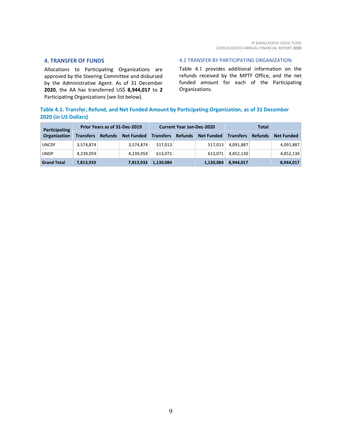## **4. TRANSFER OF FUNDS**

Allocations to Participating Organizations are approved by the Steering Committee and disbursed by the Administrative Agent. As of 31 December **2020**, the AA has transferred US\$ **8,944,017** to **2** Participating Organizations (see list below).

#### <span id="page-8-0"></span>4.1 TRANSFER BY PARTICIPATING ORGANIZATION

Table 4.1 provides additional information on the refunds received by the MPTF Office, and the net funded amount for each of the Participating Organizations.

# **Table 4.1. Transfer, Refund, and Net Funded Amount by Participating Organization, as of 31 December 2020 (in US Dollars)**

| Participating       | Prior Years as of 31-Dec-2019 |                |                   | <b>Current Year Jan-Dec-2020</b> |                |                   | Total            |                |                   |
|---------------------|-------------------------------|----------------|-------------------|----------------------------------|----------------|-------------------|------------------|----------------|-------------------|
| <b>Organization</b> | <b>Transfers</b>              | <b>Refunds</b> | <b>Net Funded</b> | <b>Transfers</b>                 | <b>Refunds</b> | <b>Net Funded</b> | <b>Transfers</b> | <b>Refunds</b> | <b>Net Funded</b> |
| <b>UNCDF</b>        | 3,574,874                     |                | 3,574,874         | 517.013                          |                | 517.013           | 4,091,887        |                | 4,091,887         |
| <b>UNDP</b>         | 4,239,059                     |                | 4,239,059         | 613.071                          |                | 613,071           | 4,852,130        |                | 4,852,130         |
| <b>Grand Total</b>  | 7,813,933                     |                | 7,813,933         | 1,130,084                        |                | 1,130,084         | 8,944,017        |                | 8,944,017         |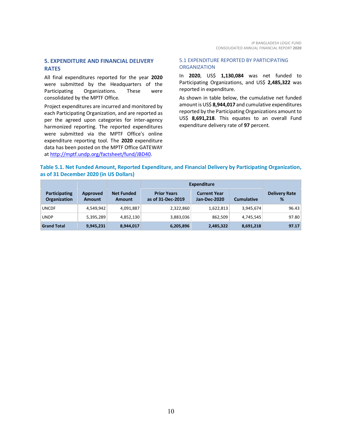# <span id="page-9-0"></span>**5. EXPENDITURE AND FINANCIAL DELIVERY RATES**

All final expenditures reported for the year **2020** were submitted by the Headquarters of the Participating Organizations. These were consolidated by the MPTF Office.

Project expenditures are incurred and monitored by each Participating Organization, and are reported as per the agreed upon categories for inter-agency harmonized reporting. The reported expenditures were submitted via the MPTF Office's online expenditure reporting tool. The **2020** expenditure data has been posted on the MPTF Office GATEWAY at [http://mptf.undp.org/factsheet/fund/JBD40.](http://mptf.undp.org/factsheet/fund/JBD40)

## <span id="page-9-1"></span>5.1 EXPENDITURE REPORTED BY PARTICIPATING **ORGANIZATION**

In **2020**, US\$ **1,130,084** was net funded to Participating Organizations, and US\$ **2,485,322** was reported in expenditure.

As shown in table below, the cumulative net funded amount is US\$ **8,944,017** and cumulative expenditures reported by the Participating Organizations amount to US\$ **8,691,218**. This equates to an overall Fund expenditure delivery rate of **97** percent.

# **Table 5.1. Net Funded Amount, Reported Expenditure, and Financial Delivery by Participating Organization, as of 31 December 2020 (in US Dollars)**

|                                      |                           |                             | Expenditure                             |                                     |                   |                           |
|--------------------------------------|---------------------------|-----------------------------|-----------------------------------------|-------------------------------------|-------------------|---------------------------|
| Participating<br><b>Organization</b> | Approved<br><b>Amount</b> | <b>Net Funded</b><br>Amount | <b>Prior Years</b><br>as of 31-Dec-2019 | <b>Current Year</b><br>Jan-Dec-2020 | <b>Cumulative</b> | <b>Delivery Rate</b><br>% |
| <b>UNCDF</b>                         | 4,549,942                 | 4,091,887                   | 2,322,860                               | 1,622,813                           | 3,945,674         | 96.43                     |
| <b>UNDP</b>                          | 5,395,289                 | 4,852,130                   | 3,883,036                               | 862,509                             | 4,745,545         | 97.80                     |
| <b>Grand Total</b>                   | 9,945,231                 | 8,944,017                   | 6,205,896                               | 2,485,322                           | 8,691,218         | 97.17                     |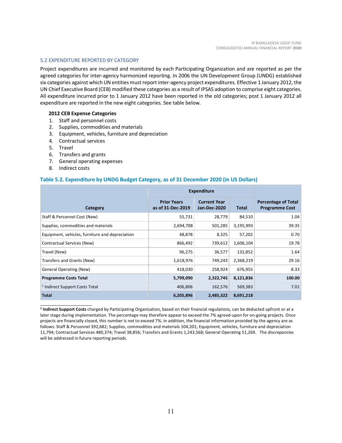## <span id="page-10-0"></span>5.2 EXPENDITURE REPORTED BY CATEGORY

Project expenditures are incurred and monitored by each Participating Organization and are reported as per the agreed categories for inter-agency harmonized reporting. In 2006 the UN Development Group (UNDG) established six categories against which UN entities must report inter-agency project expenditures. Effective 1 January 2012, the UN Chief Executive Board (CEB) modified these categories as a result of IPSAS adoption to comprise eight categories. All expenditure incurred prior to 1 January 2012 have been reported in the old categories; post 1 January 2012 all expenditure are reported in the new eight categories. See table below.

#### **2012 CEB Expense Categories**

- 1. Staff and personnel costs
- 2. Supplies, commodities and materials
- 3. Equipment, vehicles, furniture and depreciation
- 4. Contractual services
- 5. Travel
- 6. Transfers and grants
- 7. General operating expenses
- 8. Indirect costs

\_\_\_\_\_\_\_\_\_\_\_\_\_\_\_\_\_\_\_\_\_\_

## **Table 5.2. Expenditure by UNDG Budget Category, as of 31 December 2020 (in US Dollars)**

|                                                 | <b>Expenditure</b>                      |                                            |           |                                                     |
|-------------------------------------------------|-----------------------------------------|--------------------------------------------|-----------|-----------------------------------------------------|
| Category                                        | <b>Prior Years</b><br>as of 31-Dec-2019 | <b>Current Year</b><br><b>Jan-Dec-2020</b> | Total     | <b>Percentage of Total</b><br><b>Programme Cost</b> |
| Staff & Personnel Cost (New)                    | 55,731                                  | 28,779                                     | 84,510    | 1.04                                                |
| Supplies, commodities and materials             | 2,694,708                               | 501,285                                    | 3,195,993 | 39.35                                               |
| Equipment, vehicles, furniture and depreciation | 48,878                                  | 8,325                                      | 57,202    | 0.70                                                |
| Contractual Services (New)                      | 866,492                                 | 739,612                                    | 1,606,104 | 19.78                                               |
| Travel (New)                                    | 96,275                                  | 36,577                                     | 132,852   | 1.64                                                |
| Transfers and Grants (New)                      | 1,618,976                               | 749,243                                    | 2,368,219 | 29.16                                               |
| <b>General Operating (New)</b>                  | 418,030                                 | 258,924                                    | 676,955   | 8.33                                                |
| <b>Programme Costs Total</b>                    | 5,799,090                               | 2,322,745                                  | 8,121,836 | 100.00                                              |
| <sup>1</sup> Indirect Support Costs Total       | 406,806                                 | 162,576                                    | 569,383   | 7.01                                                |
| <b>Total</b>                                    | 6,205,896                               | 2,485,322                                  | 8,691,218 |                                                     |

**<sup>1</sup> Indirect Support Costs** charged by Participating Organization, based on their financial regulations, can be deducted upfront or at a later stage during implementation. The percentage may therefore appear to exceed the 7% agreed-upon for on-going projects. Once projects are financially closed, this number is not to exceed 7%. In addition, the financial information provided by the agency are as follows: Staff & Personnel 392,682; Supplies, commodities and materials 104,201; Equipment, vehicles, furniture and depreciation 11,794; Contractual Services 480,374; Travel 38,856; Transfers and Grants 1,243,568; General Operating 51,269. The discrepancies will be addressed in future reporting periods.